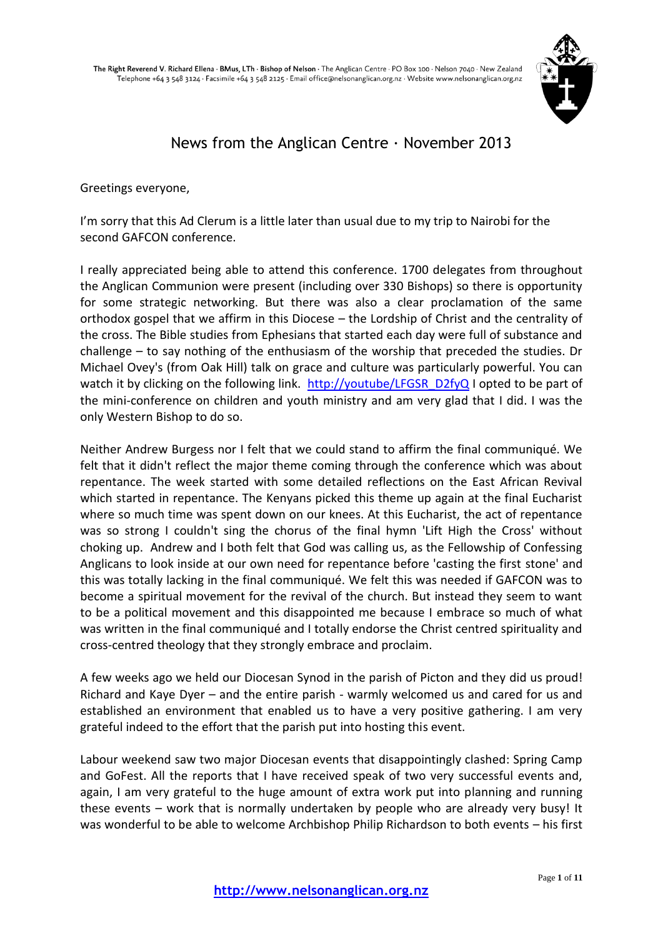

# News from the Anglican Centre  $\cdot$  November 2013

Greetings everyone,

I'm sorry that this Ad Clerum is a little later than usual due to my trip to Nairobi for the second GAFCON conference.

I really appreciated being able to attend this conference. 1700 delegates from throughout the Anglican Communion were present (including over 330 Bishops) so there is opportunity for some strategic networking. But there was also a clear proclamation of the same orthodox gospel that we affirm in this Diocese – the Lordship of Christ and the centrality of the cross. The Bible studies from Ephesians that started each day were full of substance and challenge – to say nothing of the enthusiasm of the worship that preceded the studies. Dr Michael Ovey's (from Oak Hill) talk on grace and culture was particularly powerful. You can watch it by clicking on the following link. [http://youtube/LFGSR\\_D2fyQ](http://youtube/LFGSR_D2fyQ) I opted to be part of the mini-conference on children and youth ministry and am very glad that I did. I was the only Western Bishop to do so.

Neither Andrew Burgess nor I felt that we could stand to affirm the final communiqué. We felt that it didn't reflect the major theme coming through the conference which was about repentance. The week started with some detailed reflections on the East African Revival which started in repentance. The Kenyans picked this theme up again at the final Eucharist where so much time was spent down on our knees. At this Eucharist, the act of repentance was so strong I couldn't sing the chorus of the final hymn 'Lift High the Cross' without choking up. Andrew and I both felt that God was calling us, as the Fellowship of Confessing Anglicans to look inside at our own need for repentance before 'casting the first stone' and this was totally lacking in the final communiqué. We felt this was needed if GAFCON was to become a spiritual movement for the revival of the church. But instead they seem to want to be a political movement and this disappointed me because I embrace so much of what was written in the final communiqué and I totally endorse the Christ centred spirituality and cross-centred theology that they strongly embrace and proclaim.

A few weeks ago we held our Diocesan Synod in the parish of Picton and they did us proud! Richard and Kaye Dyer – and the entire parish - warmly welcomed us and cared for us and established an environment that enabled us to have a very positive gathering. I am very grateful indeed to the effort that the parish put into hosting this event.

Labour weekend saw two major Diocesan events that disappointingly clashed: Spring Camp and GoFest. All the reports that I have received speak of two very successful events and, again, I am very grateful to the huge amount of extra work put into planning and running these events – work that is normally undertaken by people who are already very busy! It was wonderful to be able to welcome Archbishop Philip Richardson to both events – his first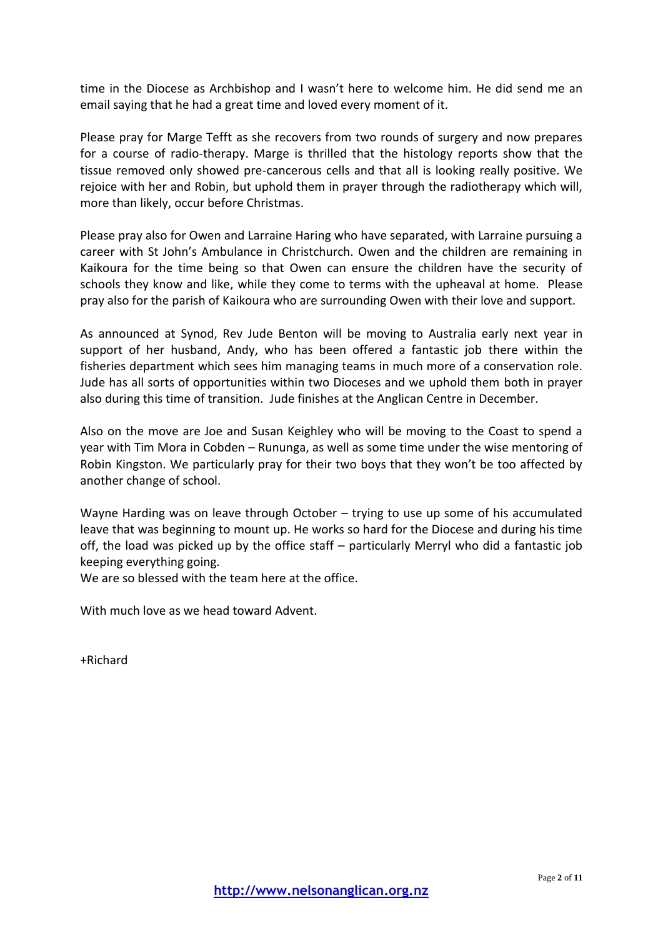time in the Diocese as Archbishop and I wasn't here to welcome him. He did send me an email saying that he had a great time and loved every moment of it.

Please pray for Marge Tefft as she recovers from two rounds of surgery and now prepares for a course of radio-therapy. Marge is thrilled that the histology reports show that the tissue removed only showed pre-cancerous cells and that all is looking really positive. We rejoice with her and Robin, but uphold them in prayer through the radiotherapy which will, more than likely, occur before Christmas.

Please pray also for Owen and Larraine Haring who have separated, with Larraine pursuing a career with St John's Ambulance in Christchurch. Owen and the children are remaining in Kaikoura for the time being so that Owen can ensure the children have the security of schools they know and like, while they come to terms with the upheaval at home. Please pray also for the parish of Kaikoura who are surrounding Owen with their love and support.

As announced at Synod, Rev Jude Benton will be moving to Australia early next year in support of her husband, Andy, who has been offered a fantastic job there within the fisheries department which sees him managing teams in much more of a conservation role. Jude has all sorts of opportunities within two Dioceses and we uphold them both in prayer also during this time of transition. Jude finishes at the Anglican Centre in December.

Also on the move are Joe and Susan Keighley who will be moving to the Coast to spend a year with Tim Mora in Cobden – Rununga, as well as some time under the wise mentoring of Robin Kingston. We particularly pray for their two boys that they won't be too affected by another change of school.

Wayne Harding was on leave through October – trying to use up some of his accumulated leave that was beginning to mount up. He works so hard for the Diocese and during his time off, the load was picked up by the office staff – particularly Merryl who did a fantastic job keeping everything going.

We are so blessed with the team here at the office.

With much love as we head toward Advent.

+Richard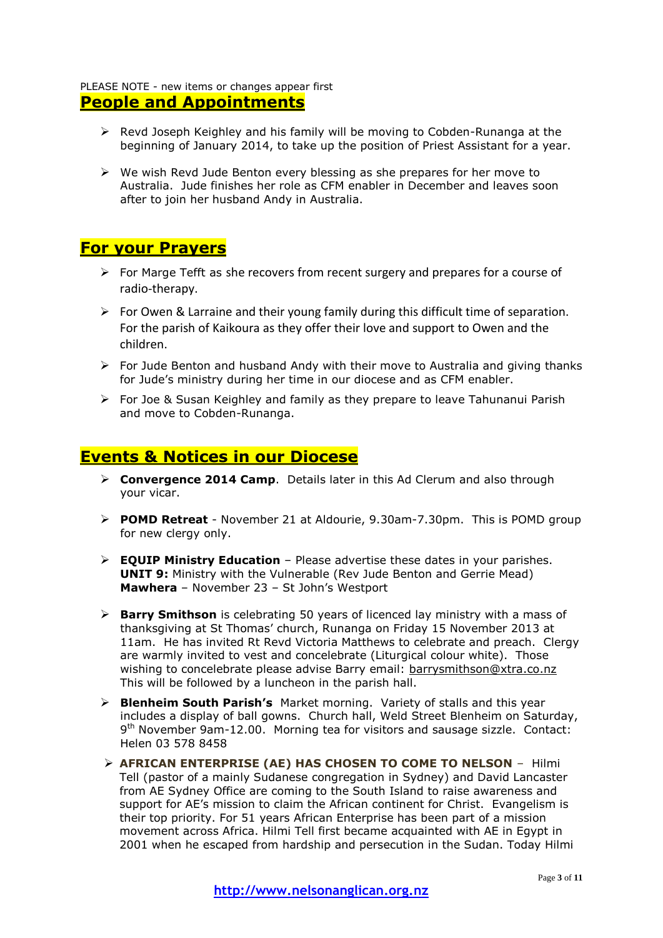### PLEASE NOTE - new items or changes appear first **People and Appointments**

- $\triangleright$  Revd Joseph Keighley and his family will be moving to Cobden-Runanga at the beginning of January 2014, to take up the position of Priest Assistant for a year.
- $\triangleright$  We wish Revd Jude Benton every blessing as she prepares for her move to Australia. Jude finishes her role as CFM enabler in December and leaves soon after to join her husband Andy in Australia.

## **For your Prayers**

- $\triangleright$  For Marge Tefft as she recovers from recent surgery and prepares for a course of radio-therapy.
- $\triangleright$  For Owen & Larraine and their young family during this difficult time of separation. For the parish of Kaikoura as they offer their love and support to Owen and the children.
- $\triangleright$  For Jude Benton and husband Andy with their move to Australia and giving thanks for Jude's ministry during her time in our diocese and as CFM enabler.
- $\triangleright$  For Joe & Susan Keighley and family as they prepare to leave Tahunanui Parish and move to Cobden-Runanga.

## **Events & Notices in our Diocese**

- **Convergence 2014 Camp**. Details later in this Ad Clerum and also through your vicar.
- **POMD Retreat** November 21 at Aldourie, 9.30am-7.30pm. This is POMD group for new clergy only.
- **EQUIP Ministry Education** Please advertise these dates in your parishes. **UNIT 9:** Ministry with the Vulnerable (Rev Jude Benton and Gerrie Mead) **Mawhera** – November 23 – St John's Westport
- **Barry Smithson** is celebrating 50 years of licenced lay ministry with a mass of thanksgiving at St Thomas' church, Runanga on Friday 15 November 2013 at 11am. He has invited Rt Revd Victoria Matthews to celebrate and preach. Clergy are warmly invited to vest and concelebrate (Liturgical colour white). Those wishing to concelebrate please advise Barry email: [barrysmithson@xtra.co.nz](mailto:barrysmithson@xtra.co.nz) This will be followed by a luncheon in the parish hall.
- **Blenheim South Parish's** Market morning. Variety of stalls and this year includes a display of ball gowns. Church hall, Weld Street Blenheim on Saturday, 9<sup>th</sup> November 9am-12.00. Morning tea for visitors and sausage sizzle. Contact: Helen 03 578 8458
- **AFRICAN ENTERPRISE (AE) HAS CHOSEN TO COME TO NELSON** Hilmi Tell (pastor of a mainly Sudanese congregation in Sydney) and David Lancaster from AE Sydney Office are coming to the South Island to raise awareness and support for AE's mission to claim the African continent for Christ. Evangelism is their top priority. For 51 years African Enterprise has been part of a mission movement across Africa. Hilmi Tell first became acquainted with AE in Egypt in 2001 when he escaped from hardship and persecution in the Sudan. Today Hilmi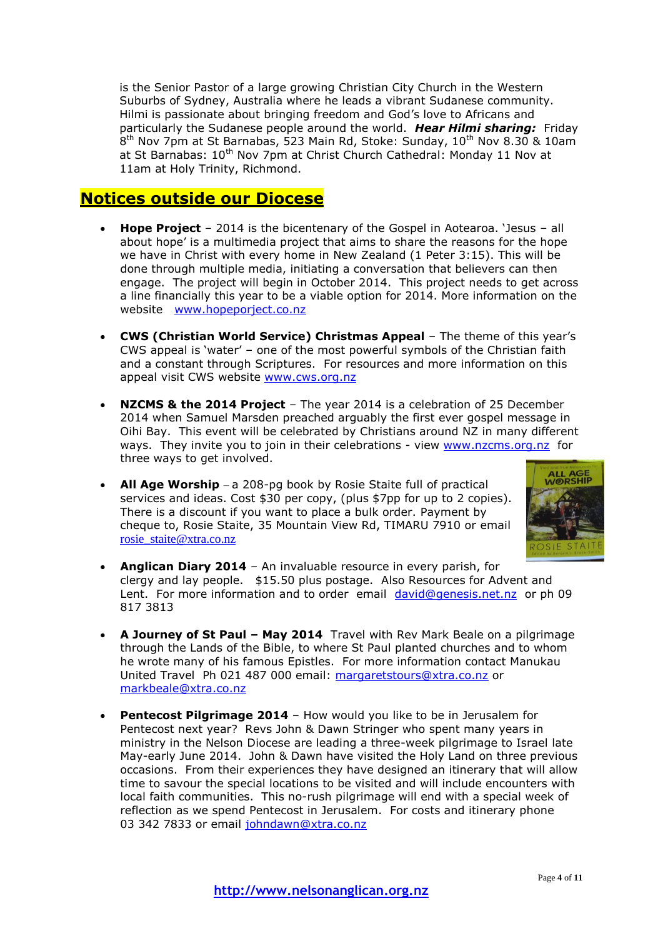is the Senior Pastor of a large growing Christian City Church in the Western Suburbs of Sydney, Australia where he leads a vibrant Sudanese community. Hilmi is passionate about bringing freedom and God's love to Africans and particularly the Sudanese people around the world. *Hear Hilmi sharing:* Friday 8<sup>th</sup> Nov 7pm at St Barnabas, 523 Main Rd, Stoke: Sunday, 10<sup>th</sup> Nov 8.30 & 10am at St Barnabas: 10<sup>th</sup> Nov 7pm at Christ Church Cathedral: Monday 11 Nov at 11am at Holy Trinity, Richmond.

## **Notices outside our Diocese**

- **Hope Project** 2014 is the bicentenary of the Gospel in Aotearoa. 'Jesus all about hope' is a multimedia project that aims to share the reasons for the hope we have in Christ with every home in New Zealand (1 Peter 3:15). This will be done through multiple media, initiating a conversation that believers can then engage. The project will begin in October 2014. This project needs to get across a line financially this year to be a viable option for 2014. More information on the website [www.hopeporject.co.nz](http://www.hopeporject.co.nz/)
- **CWS (Christian World Service) Christmas Appeal** The theme of this year's CWS appeal is 'water' – one of the most powerful symbols of the Christian faith and a constant through Scriptures. For resources and more information on this appeal visit CWS website [www.cws.org.nz](http://www.cws.org.nz/)
- **NZCMS & the 2014 Project** The year 2014 is a celebration of 25 December 2014 when Samuel Marsden preached arguably the first ever gospel message in Oihi Bay. This event will be celebrated by Christians around NZ in many different ways. They invite you to join in their celebrations - view [www.nzcms.org.nz](http://www.nzcms.org.nz/) for three ways to get involved.
- **All Age Worship**  a 208-pg book by Rosie Staite full of practical services and ideas. Cost \$30 per copy, (plus \$7pp for up to 2 copies). There is a discount if you want to place a bulk order. Payment by cheque to, Rosie Staite, 35 Mountain View Rd, TIMARU 7910 or email [rosie\\_staite@xtra.co.nz](mailto:rosie_staite@xtra.co.nz)



- **Anglican Diary 2014** An invaluable resource in every parish, for clergy and lay people. \$15.50 plus postage. Also Resources for Advent and Lent. For more information and to order email [david@genesis.net.nz](mailto:david@genesis.net.nz) or ph 09 817 3813
- **A Journey of St Paul – May 2014** Travel with Rev Mark Beale on a pilgrimage through the Lands of the Bible, to where St Paul planted churches and to whom he wrote many of his famous Epistles. For more information contact Manukau United Travel Ph 021 487 000 email: [margaretstours@xtra.co.nz](mailto:margaretstours@xtra.co.nz) or [markbeale@xtra.co.nz](mailto:markbeale@xtra.co.nz)
- **Pentecost Pilgrimage 2014** How would you like to be in Jerusalem for Pentecost next year? Revs John & Dawn Stringer who spent many years in ministry in the Nelson Diocese are leading a three-week pilgrimage to Israel late May-early June 2014. John & Dawn have visited the Holy Land on three previous occasions. From their experiences they have designed an itinerary that will allow time to savour the special locations to be visited and will include encounters with local faith communities. This no-rush pilgrimage will end with a special week of reflection as we spend Pentecost in Jerusalem. For costs and itinerary phone 03 342 7833 or email [johndawn@xtra.co.nz](mailto:johndawn@xtra.co.nz)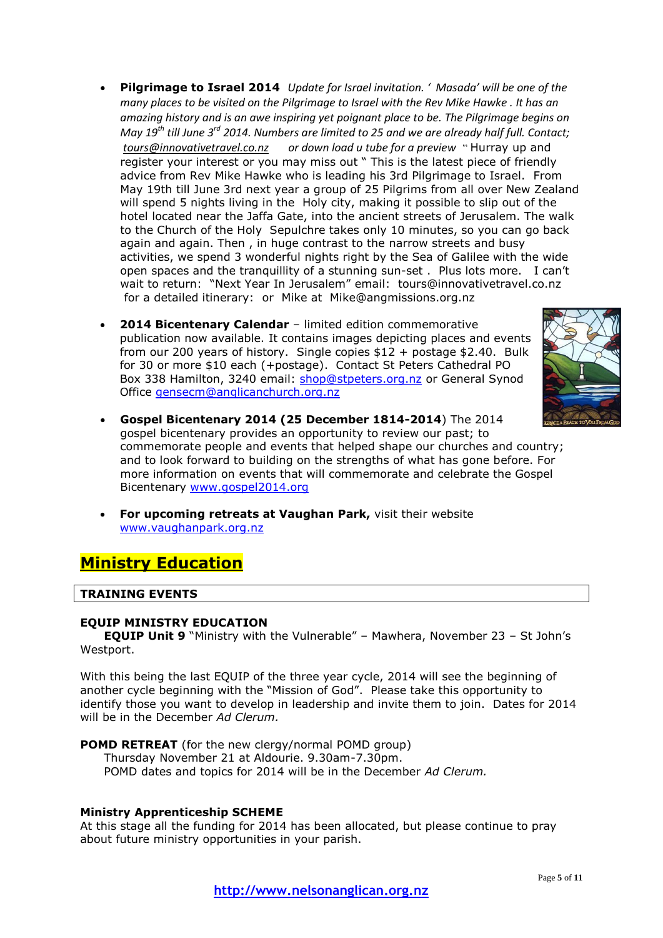- **Pilgrimage to Israel 2014** *Update for Israel invitation. ' Masada' will be one of the many places to be visited on the Pilgrimage to Israel with the Rev Mike Hawke . It has an amazing history and is an awe inspiring yet poignant place to be. The Pilgrimage begins on May 19th till June 3rd 2014. Numbers are limited to 25 and we are already half full. Contact; [tours@innovativetravel.co.nz](mailto:tours@innovativetravel.co.nz) or down load u tube for a preview* " Hurray up and register your interest or you may miss out " This is the latest piece of friendly advice from Rev Mike Hawke who is leading his 3rd Pilgrimage to Israel. From May 19th till June 3rd next year a group of 25 Pilgrims from all over New Zealand will spend 5 nights living in the Holy city, making it possible to slip out of the hotel located near the Jaffa Gate, into the ancient streets of Jerusalem. The walk to the Church of the Holy Sepulchre takes only 10 minutes, so you can go back again and again. Then , in huge contrast to the narrow streets and busy activities, we spend 3 wonderful nights right by the Sea of Galilee with the wide open spaces and the tranquillity of a stunning sun-set . Plus lots more. I can't wait to return: "Next Year In Jerusalem" email: [tours@innovativetravel.co.nz](mailto:tours@innovativetravel.co.nz) for a detailed itinerary: or Mike at [Mike@angmissions.org.nz](mailto:Mike@angmissions.org.nz)
- **2014 Bicentenary Calendar** limited edition commemorative publication now available. It contains images depicting places and events from our 200 years of history. Single copies \$12 + postage \$2.40. Bulk for 30 or more \$10 each (+postage). Contact St Peters Cathedral PO Box 338 Hamilton, 3240 email: [shop@stpeters.org.nz](mailto:shop@stpeters.org.nz) or General Synod Office [gensecm@anglicanchurch.org.nz](mailto:gensecm@anglicanchurch.org.nz)



- **Gospel Bicentenary 2014 (25 December 1814-2014**) The 2014 gospel bicentenary provides an opportunity to review our past; to commemorate people and events that helped shape our churches and country; and to look forward to building on the strengths of what has gone before. For more information on events that will commemorate and celebrate the Gospel Bicentenary [www.gospel2014.org](http://www.gospel2014.org/)
- **For upcoming retreats at Vaughan Park,** visit their website [www.vaughanpark.org.nz](http://www.vaughanpark.org.nz/)

# **Ministry Education**

### **TRAINING EVENTS**

#### **EQUIP MINISTRY EDUCATION**

**EQUIP Unit 9** "Ministry with the Vulnerable" – Mawhera, November 23 – St John's Westport.

With this being the last EQUIP of the three year cycle, 2014 will see the beginning of another cycle beginning with the "Mission of God". Please take this opportunity to identify those you want to develop in leadership and invite them to join. Dates for 2014 will be in the December *Ad Clerum.*

**POMD RETREAT** (for the new clergy/normal POMD group) Thursday November 21 at Aldourie. 9.30am-7.30pm. POMD dates and topics for 2014 will be in the December *Ad Clerum.*

### **Ministry Apprenticeship SCHEME**

At this stage all the funding for 2014 has been allocated, but please continue to pray about future ministry opportunities in your parish.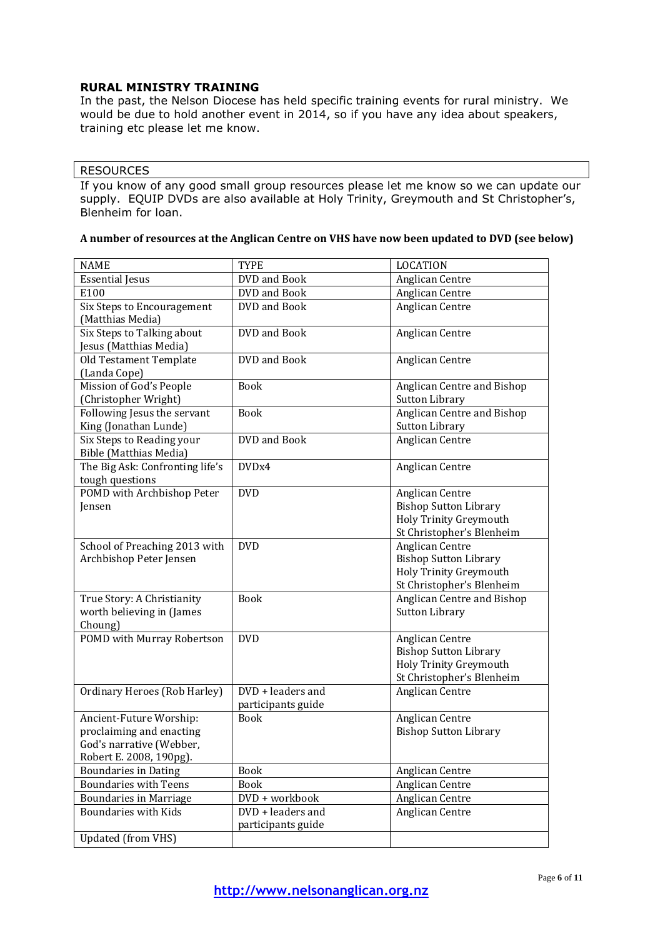### **RURAL MINISTRY TRAINING**

In the past, the Nelson Diocese has held specific training events for rural ministry. We would be due to hold another event in 2014, so if you have any idea about speakers, training etc please let me know.

### RESOURCES

If you know of any good small group resources please let me know so we can update our supply. EQUIP DVDs are also available at Holy Trinity, Greymouth and St Christopher's, Blenheim for loan.

| <b>NAME</b>                                                                                                | <b>TYPE</b>                             | <b>LOCATION</b>                                                                                        |
|------------------------------------------------------------------------------------------------------------|-----------------------------------------|--------------------------------------------------------------------------------------------------------|
| <b>Essential Jesus</b>                                                                                     | DVD and Book                            | Anglican Centre                                                                                        |
| E100                                                                                                       | DVD and Book                            | Anglican Centre                                                                                        |
| Six Steps to Encouragement<br>(Matthias Media)                                                             | DVD and Book                            | Anglican Centre                                                                                        |
| Six Steps to Talking about<br>Jesus (Matthias Media)                                                       | DVD and Book                            | Anglican Centre                                                                                        |
| Old Testament Template<br>(Landa Cope)                                                                     | DVD and Book                            | Anglican Centre                                                                                        |
| Mission of God's People<br>(Christopher Wright)                                                            | <b>Book</b>                             | Anglican Centre and Bishop<br><b>Sutton Library</b>                                                    |
| Following Jesus the servant<br>King (Jonathan Lunde)                                                       | <b>Book</b>                             | Anglican Centre and Bishop<br>Sutton Library                                                           |
| Six Steps to Reading your<br><b>Bible (Matthias Media)</b>                                                 | DVD and Book                            | Anglican Centre                                                                                        |
| The Big Ask: Confronting life's<br>tough questions                                                         | DVDx4                                   | Anglican Centre                                                                                        |
| POMD with Archbishop Peter<br>Jensen                                                                       | <b>DVD</b>                              | Anglican Centre<br><b>Bishop Sutton Library</b><br>Holy Trinity Greymouth<br>St Christopher's Blenheim |
| School of Preaching 2013 with<br>Archbishop Peter Jensen                                                   | <b>DVD</b>                              | Anglican Centre<br><b>Bishop Sutton Library</b><br>Holy Trinity Greymouth<br>St Christopher's Blenheim |
| True Story: A Christianity<br>worth believing in (James<br>Choung)                                         | <b>Book</b>                             | Anglican Centre and Bishop<br><b>Sutton Library</b>                                                    |
| POMD with Murray Robertson                                                                                 | <b>DVD</b>                              | Anglican Centre<br><b>Bishop Sutton Library</b><br>Holy Trinity Greymouth<br>St Christopher's Blenheim |
| Ordinary Heroes (Rob Harley)                                                                               | DVD + leaders and<br>participants guide | Anglican Centre                                                                                        |
| Ancient-Future Worship:<br>proclaiming and enacting<br>God's narrative (Webber,<br>Robert E. 2008, 190pg). | <b>Book</b>                             | Anglican Centre<br><b>Bishop Sutton Library</b>                                                        |
| <b>Boundaries in Dating</b>                                                                                | <b>Book</b>                             | Anglican Centre                                                                                        |
| <b>Boundaries with Teens</b>                                                                               | <b>Book</b>                             | Anglican Centre                                                                                        |
| <b>Boundaries in Marriage</b>                                                                              | DVD + workbook                          | Anglican Centre                                                                                        |
| <b>Boundaries with Kids</b>                                                                                | DVD + leaders and<br>participants guide | Anglican Centre                                                                                        |
| <b>Updated (from VHS)</b>                                                                                  |                                         |                                                                                                        |

### **A number of resources at the Anglican Centre on VHS have now been updated to DVD (see below)**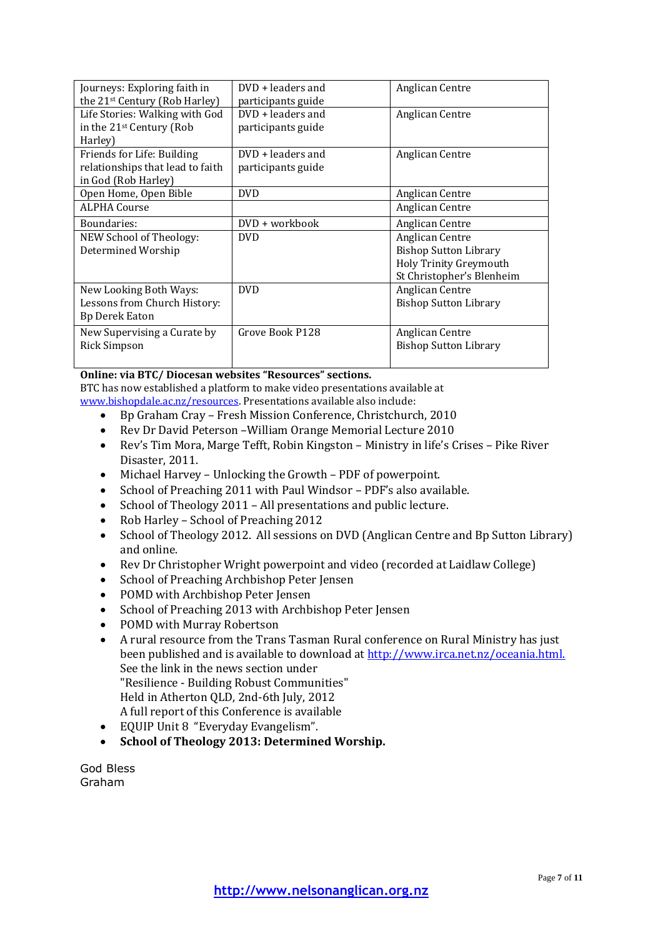| Journeys: Exploring faith in<br>the 21 <sup>st</sup> Century (Rob Harley)             | $DVD + leaders$ and<br>participants guide | Anglican Centre                                                                                        |
|---------------------------------------------------------------------------------------|-------------------------------------------|--------------------------------------------------------------------------------------------------------|
| Life Stories: Walking with God<br>in the 21 <sup>st</sup> Century (Rob<br>Harley)     | $DVD + leaders$ and<br>participants guide | Anglican Centre                                                                                        |
| Friends for Life: Building<br>relationships that lead to faith<br>in God (Rob Harley) | DVD + leaders and<br>participants guide   | Anglican Centre                                                                                        |
| Open Home, Open Bible                                                                 | <b>DVD</b>                                | Anglican Centre                                                                                        |
| <b>ALPHA Course</b>                                                                   |                                           | Anglican Centre                                                                                        |
| Boundaries:                                                                           | DVD + workbook                            | Anglican Centre                                                                                        |
| <b>NEW School of Theology:</b><br>Determined Worship                                  | <b>DVD</b>                                | Anglican Centre<br><b>Bishop Sutton Library</b><br>Holy Trinity Greymouth<br>St Christopher's Blenheim |
| New Looking Both Ways:<br>Lessons from Church History:<br><b>Bp Derek Eaton</b>       | <b>DVD</b>                                | Anglican Centre<br><b>Bishop Sutton Library</b>                                                        |
| New Supervising a Curate by<br><b>Rick Simpson</b>                                    | Grove Book P128                           | Anglican Centre<br><b>Bishop Sutton Library</b>                                                        |

### **Online: via BTC/ Diocesan websites "Resources" sections.**

BTC has now established a platform to make video presentations available at [www.bishopdale.ac.nz/resources.](http://www.bishopdale.ac.nz/resources) Presentations available also include:

- Bp Graham Cray Fresh Mission Conference, Christchurch, 2010
- Rev Dr David Peterson –William Orange Memorial Lecture 2010
- Rev's Tim Mora, Marge Tefft, Robin Kingston Ministry in life's Crises Pike River Disaster, 2011.
- Michael Harvey Unlocking the Growth PDF of powerpoint.
- School of Preaching 2011 with Paul Windsor PDF's also available.
- School of Theology 2011 All presentations and public lecture.
- Rob Harley School of Preaching 2012
- School of Theology 2012. All sessions on DVD (Anglican Centre and Bp Sutton Library) and online.
- Rev Dr Christopher Wright powerpoint and video (recorded at Laidlaw College)
- School of Preaching Archbishop Peter Jensen
- POMD with Archbishop Peter Jensen
- School of Preaching 2013 with Archbishop Peter Jensen
- POMD with Murray Robertson
- A rural resource from the Trans Tasman Rural conference on Rural Ministry has just been published and is available to download at [http://www.irca.net.nz/oceania.html.](http://www.irca.net.nz/oceania.html) See the link in the news section under "Resilience - Building Robust Communities" Held in Atherton QLD, 2nd-6th July, 2012 A full report of this Conference is available
- EQUIP Unit 8 "Everyday Evangelism".
- **School of Theology 2013: Determined Worship.**

God Bless Graham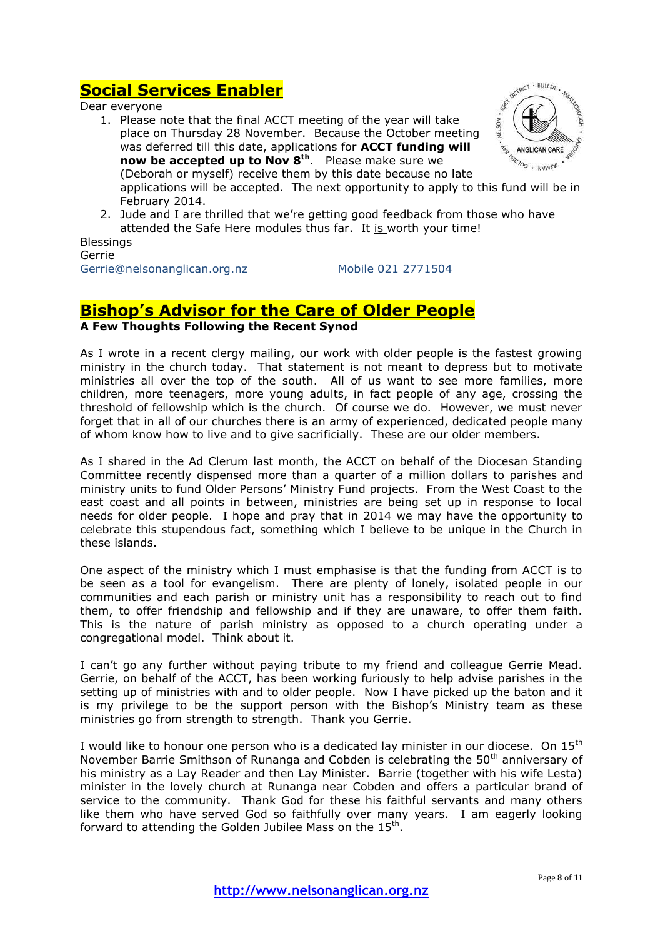# **Social Services Enabler**

Dear everyone

1. Please note that the final ACCT meeting of the year will take place on Thursday 28 November. Because the October meeting was deferred till this date, applications for **ACCT funding will now be accepted up to Nov 8th** . Please make sure we (Deborah or myself) receive them by this date because no late applications will be accepted. The next opportunity to apply to this fund will be in February 2014.



2. Jude and I are thrilled that we're getting good feedback from those who have attended the Safe Here modules thus far. It is worth your time!

Blessings Gerrie Gerrie@nelsonanglican.org.nz Mobile 021 2771504

# **Bishop's Advisor for the Care of Older People**

**A Few Thoughts Following the Recent Synod**

As I wrote in a recent clergy mailing, our work with older people is the fastest growing ministry in the church today. That statement is not meant to depress but to motivate ministries all over the top of the south. All of us want to see more families, more children, more teenagers, more young adults, in fact people of any age, crossing the threshold of fellowship which is the church. Of course we do. However, we must never forget that in all of our churches there is an army of experienced, dedicated people many of whom know how to live and to give sacrificially. These are our older members.

As I shared in the Ad Clerum last month, the ACCT on behalf of the Diocesan Standing Committee recently dispensed more than a quarter of a million dollars to parishes and ministry units to fund Older Persons' Ministry Fund projects. From the West Coast to the east coast and all points in between, ministries are being set up in response to local needs for older people. I hope and pray that in 2014 we may have the opportunity to celebrate this stupendous fact, something which I believe to be unique in the Church in these islands.

One aspect of the ministry which I must emphasise is that the funding from ACCT is to be seen as a tool for evangelism. There are plenty of lonely, isolated people in our communities and each parish or ministry unit has a responsibility to reach out to find them, to offer friendship and fellowship and if they are unaware, to offer them faith. This is the nature of parish ministry as opposed to a church operating under a congregational model. Think about it.

I can't go any further without paying tribute to my friend and colleague Gerrie Mead. Gerrie, on behalf of the ACCT, has been working furiously to help advise parishes in the setting up of ministries with and to older people. Now I have picked up the baton and it is my privilege to be the support person with the Bishop's Ministry team as these ministries go from strength to strength. Thank you Gerrie.

I would like to honour one person who is a dedicated lay minister in our diocese. On  $15<sup>th</sup>$ November Barrie Smithson of Runanga and Cobden is celebrating the  $50<sup>th</sup>$  anniversary of his ministry as a Lay Reader and then Lay Minister. Barrie (together with his wife Lesta) minister in the lovely church at Runanga near Cobden and offers a particular brand of service to the community. Thank God for these his faithful servants and many others like them who have served God so faithfully over many years. I am eagerly looking forward to attending the Golden Jubilee Mass on the  $15<sup>th</sup>$ .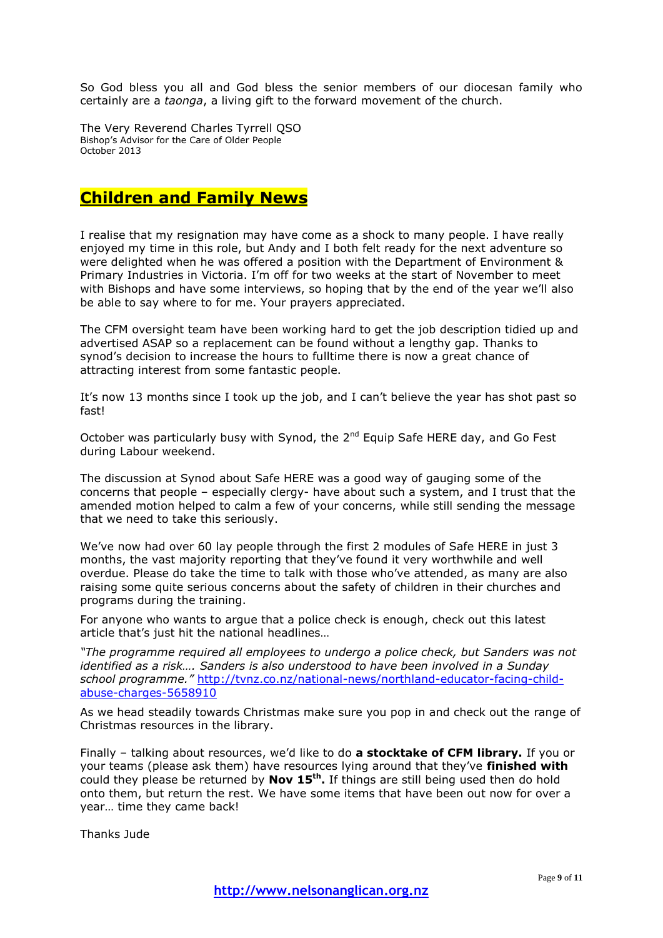So God bless you all and God bless the senior members of our diocesan family who certainly are a *taonga*, a living gift to the forward movement of the church.

The Very Reverend Charles Tyrrell QSO Bishop's Advisor for the Care of Older People October 2013

## **Children and Family News**

I realise that my resignation may have come as a shock to many people. I have really enjoyed my time in this role, but Andy and I both felt ready for the next adventure so were delighted when he was offered a position with the Department of Environment & Primary Industries in Victoria. I'm off for two weeks at the start of November to meet with Bishops and have some interviews, so hoping that by the end of the year we'll also be able to say where to for me. Your prayers appreciated.

The CFM oversight team have been working hard to get the job description tidied up and advertised ASAP so a replacement can be found without a lengthy gap. Thanks to synod's decision to increase the hours to fulltime there is now a great chance of attracting interest from some fantastic people.

It's now 13 months since I took up the job, and I can't believe the year has shot past so fast!

October was particularly busy with Synod, the  $2^{nd}$  Equip Safe HERE day, and Go Fest during Labour weekend.

The discussion at Synod about Safe HERE was a good way of gauging some of the concerns that people – especially clergy- have about such a system, and I trust that the amended motion helped to calm a few of your concerns, while still sending the message that we need to take this seriously.

We've now had over 60 lay people through the first 2 modules of Safe HERE in just 3 months, the vast majority reporting that they've found it very worthwhile and well overdue. Please do take the time to talk with those who've attended, as many are also raising some quite serious concerns about the safety of children in their churches and programs during the training.

For anyone who wants to argue that a police check is enough, check out this latest article that's just hit the national headlines…

*"The programme required all employees to undergo a police check, but Sanders was not identified as a risk…. Sanders is also understood to have been involved in a Sunday school programme."* [http://tvnz.co.nz/national-news/northland-educator-facing-child](http://tvnz.co.nz/national-news/northland-educator-facing-child-abuse-charges-5658910)[abuse-charges-5658910](http://tvnz.co.nz/national-news/northland-educator-facing-child-abuse-charges-5658910)

As we head steadily towards Christmas make sure you pop in and check out the range of Christmas resources in the library.

Finally – talking about resources, we'd like to do **a stocktake of CFM library.** If you or your teams (please ask them) have resources lying around that they've **finished with** could they please be returned by **Nov 15th .** If things are still being used then do hold onto them, but return the rest. We have some items that have been out now for over a year… time they came back!

Thanks Jude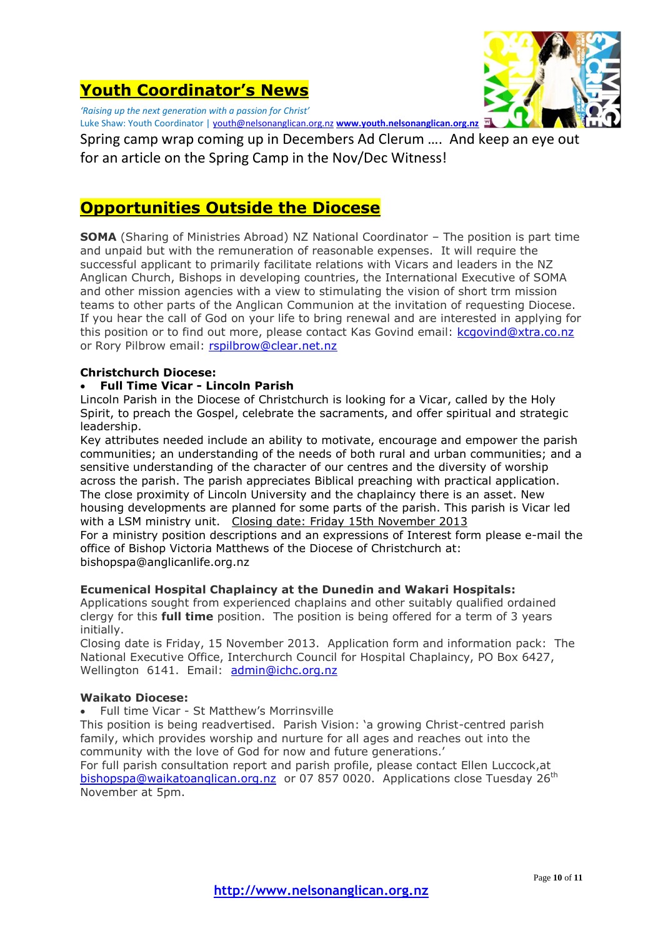# **Youth Coordinator's News**



*'Raising up the next generation with a passion for Christ'* Luke Shaw: Youth Coordinator [| youth@nelsonanglican.org.nz](mailto:youth@nelsonanglican.org.nz) **[www.youth.nelsonanglican.org.nz](http://www.youth.nelsonanglican.org.nz/)**

Spring camp wrap coming up in Decembers Ad Clerum …. And keep an eye out for an article on the Spring Camp in the Nov/Dec Witness!

# **Opportunities Outside the Diocese**

**SOMA** (Sharing of Ministries Abroad) NZ National Coordinator - The position is part time and unpaid but with the remuneration of reasonable expenses. It will require the successful applicant to primarily facilitate relations with Vicars and leaders in the NZ Anglican Church, Bishops in developing countries, the International Executive of SOMA and other mission agencies with a view to stimulating the vision of short trm mission teams to other parts of the Anglican Communion at the invitation of requesting Diocese. If you hear the call of God on your life to bring renewal and are interested in applying for this position or to find out more, please contact Kas Govind email: [kcgovind@xtra.co.nz](mailto:kcgovind@xtra.co.nz) or Rory Pilbrow email: [rspilbrow@clear.net.nz](mailto:rspilbrow@clear.net.nz)

### **Christchurch Diocese:**

### **Full Time Vicar - Lincoln Parish**

Lincoln Parish in the Diocese of Christchurch is looking for a Vicar, called by the Holy Spirit, to preach the Gospel, celebrate the sacraments, and offer spiritual and strategic leadership.

Key attributes needed include an ability to motivate, encourage and empower the parish communities; an understanding of the needs of both rural and urban communities; and a sensitive understanding of the character of our centres and the diversity of worship across the parish. The parish appreciates Biblical preaching with practical application. The close proximity of Lincoln University and the chaplaincy there is an asset. New housing developments are planned for some parts of the parish. This parish is Vicar led with a LSM ministry unit. Closing date: Friday 15th November 2013

For a ministry position descriptions and an expressions of Interest form please e-mail the office of Bishop Victoria Matthews of the Diocese of Christchurch at: [bishopspa@anglicanlife.org.nz](mailto:bishopspa@anglicanlife.org.nz)

#### **Ecumenical Hospital Chaplaincy at the Dunedin and Wakari Hospitals:**

Applications sought from experienced chaplains and other suitably qualified ordained clergy for this **full time** position. The position is being offered for a term of 3 years initially.

Closing date is Friday, 15 November 2013. Application form and information pack: The National Executive Office, Interchurch Council for Hospital Chaplaincy, PO Box 6427, Wellington 6141. Email: [admin@ichc.org.nz](mailto:admin@ichc.org.nz)

#### **Waikato Diocese:**

Full time Vicar - St Matthew's Morrinsville

This position is being readvertised. Parish Vision: 'a growing Christ-centred parish family, which provides worship and nurture for all ages and reaches out into the community with the love of God for now and future generations.'

For full parish consultation report and parish profile, please contact Ellen Luccock,at [bishopspa@waikatoanglican.org.nz](mailto:bishopspa@waikatoanglican.org.nz) or 07 857 0020. Applications close Tuesday 26<sup>th</sup> November at 5pm.